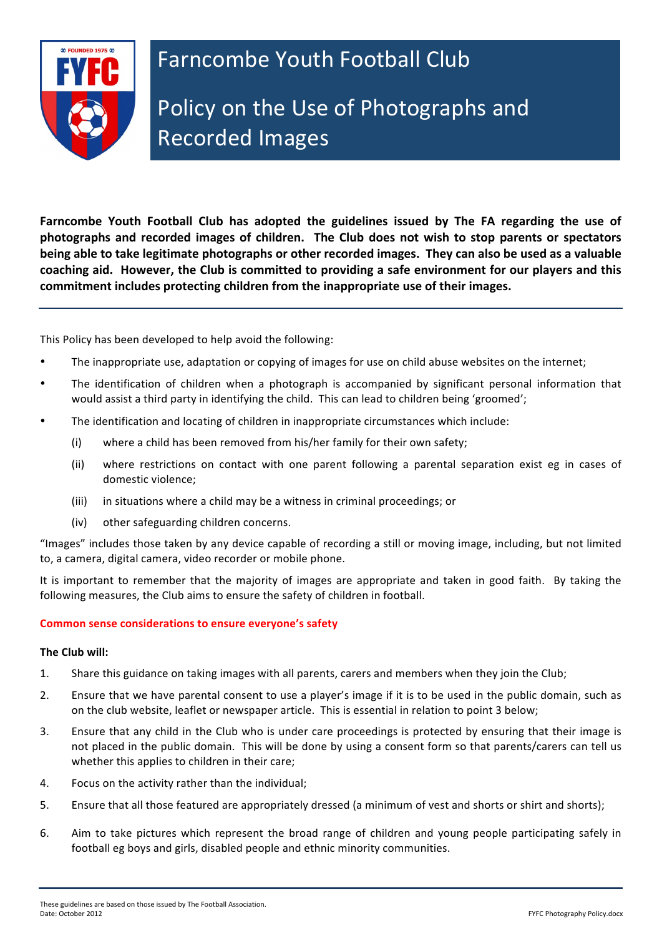

**Farncombe Youth Football Club has adopted the guidelines issued by The FA regarding the use of** photographs and recorded images of children. The Club does not wish to stop parents or spectators being able to take legitimate photographs or other recorded images. They can also be used as a valuable coaching aid. However, the Club is committed to providing a safe environment for our players and this commitment includes protecting children from the inappropriate use of their images.

This Policy has been developed to help avoid the following:

- The inappropriate use, adaptation or copying of images for use on child abuse websites on the internet;
- The identification of children when a photograph is accompanied by significant personal information that would assist a third party in identifying the child. This can lead to children being 'groomed';
- The identification and locating of children in inappropriate circumstances which include:
	- (i) where a child has been removed from his/her family for their own safety;
	- (ii) where restrictions on contact with one parent following a parental separation exist eg in cases of domestic violence;
	- (iii) in situations where a child may be a witness in criminal proceedings; or
	- (iv) other safeguarding children concerns.

"Images" includes those taken by any device capable of recording a still or moving image, including, but not limited to, a camera, digital camera, video recorder or mobile phone.

It is important to remember that the majority of images are appropriate and taken in good faith. By taking the following measures, the Club aims to ensure the safety of children in football.

### **Common sense considerations to ensure everyone's safety**

### **The Club will:**

- 1. Share this guidance on taking images with all parents, carers and members when they join the Club;
- 2. Ensure that we have parental consent to use a player's image if it is to be used in the public domain, such as on the club website, leaflet or newspaper article. This is essential in relation to point 3 below;
- 3. Ensure that any child in the Club who is under care proceedings is protected by ensuring that their image is not placed in the public domain. This will be done by using a consent form so that parents/carers can tell us whether this applies to children in their care:
- 4. Focus on the activity rather than the individual:
- 5. Ensure that all those featured are appropriately dressed (a minimum of vest and shorts or shirt and shorts);
- 6. Aim to take pictures which represent the broad range of children and young people participating safely in football eg boys and girls, disabled people and ethnic minority communities.